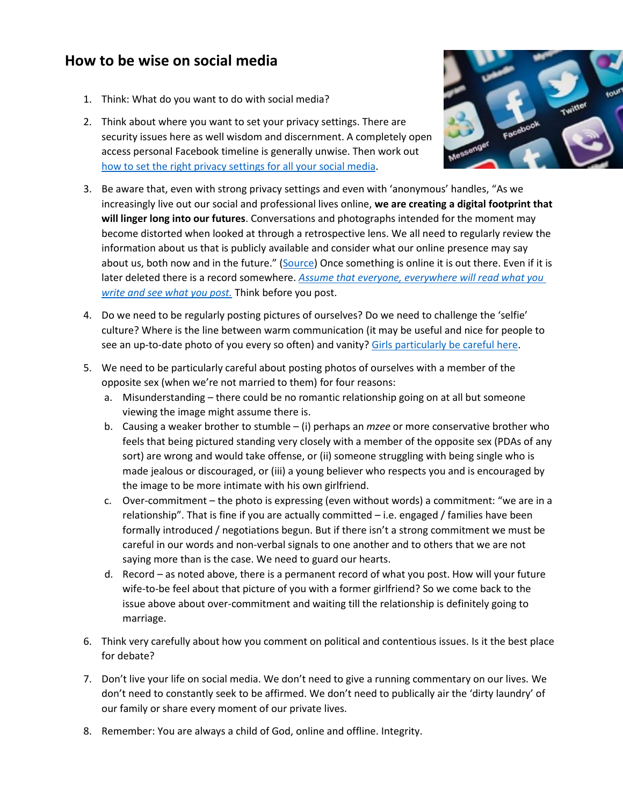## **How to be wise on social media**

- 1. Think: What do you want to do with social media?
- 2. Think about where you want to set your privacy settings. There are security issues here as well wisdom and discernment. A completely open access personal Facebook timeline is generally unwise. Then work out [how to set the right privacy settings for all your social media.](http://staysafeonline.org/data-privacy-day/check-your-privacy-settings/)



- 3. Be aware that, even with strong privacy settings and even with 'anonymous' handles, "As we increasingly live out our social and professional lives online, **we are creating a digital footprint that will linger long into our futures**. Conversations and photographs intended for the moment may become distorted when looked at through a retrospective lens. We all need to regularly review the information about us that is publicly available and consider what our online presence may say about us, both now and in the future." ([Source\)](http://blogs.qub.ac.uk/socialmedia/2014/01/27/online-presence/) Once something is online it is out there. Even if it is later deleted there is a record somewhere. *[Assume that everyone, everywhere will read what you](http://thegospelcoalition.org/blogs/kevindeyoung/2012/06/13/the-one-indispensable-rule-for-using-social-media/)  [write and see what you post.](http://thegospelcoalition.org/blogs/kevindeyoung/2012/06/13/the-one-indispensable-rule-for-using-social-media/)* Think before you post.
- 4. Do we need to be regularly posting pictures of ourselves? Do we need to challenge the 'selfie' culture? Where is the line between warm communication (it may be useful and nice for people to see an up-to-date photo of you every so often) and vanity? [Girls particularly be careful here.](http://www.charismamag.com/life/women/20802-mimicking-supermodels-christian-girls-posting-seductive-selfies)
- 5. We need to be particularly careful about posting photos of ourselves with a member of the opposite sex (when we're not married to them) for four reasons:
	- a. Misunderstanding there could be no romantic relationship going on at all but someone viewing the image might assume there is.
	- b. Causing a weaker brother to stumble (i) perhaps an *mzee* or more conservative brother who feels that being pictured standing very closely with a member of the opposite sex (PDAs of any sort) are wrong and would take offense, or (ii) someone struggling with being single who is made jealous or discouraged, or (iii) a young believer who respects you and is encouraged by the image to be more intimate with his own girlfriend.
	- c. Over-commitment the photo is expressing (even without words) a commitment: "we are in a relationship". That is fine if you are actually committed – i.e. engaged / families have been formally introduced / negotiations begun. But if there isn't a strong commitment we must be careful in our words and non-verbal signals to one another and to others that we are not saying more than is the case. We need to guard our hearts.
	- d. Record as noted above, there is a permanent record of what you post. How will your future wife-to-be feel about that picture of you with a former girlfriend? So we come back to the issue above about over-commitment and waiting till the relationship is definitely going to marriage.
- 6. Think very carefully about how you comment on political and contentious issues. Is it the best place for debate?
- 7. Don't live your life on social media. We don't need to give a running commentary on our lives. We don't need to constantly seek to be affirmed. We don't need to publically air the 'dirty laundry' of our family or share every moment of our private lives.
- 8. Remember: You are always a child of God, online and offline. Integrity.